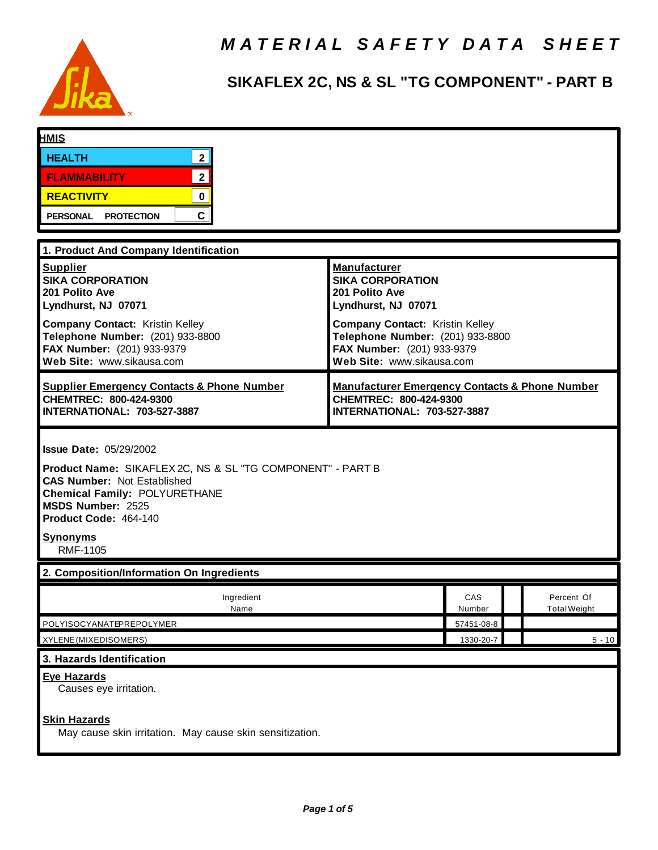

# **SIKAFLEX 2C, NS & SL "TG COMPONENT" - PART B**

| <b>HMIS</b>                                                                     |                                                                            |  |                     |
|---------------------------------------------------------------------------------|----------------------------------------------------------------------------|--|---------------------|
| 2 <sup>1</sup><br><b>HEALTH</b>                                                 |                                                                            |  |                     |
| $\overline{2}$<br><b>FLAMMABILITY</b>                                           |                                                                            |  |                     |
| $\mathbf 0$<br><b>REACTIVITY</b>                                                |                                                                            |  |                     |
| C<br>PERSONAL PROTECTION                                                        |                                                                            |  |                     |
|                                                                                 |                                                                            |  |                     |
| 1. Product And Company Identification                                           |                                                                            |  |                     |
| <b>Supplier</b><br><b>SIKA CORPORATION</b>                                      | <b>Manufacturer</b><br><b>SIKA CORPORATION</b>                             |  |                     |
| 201 Polito Ave                                                                  | 201 Polito Ave                                                             |  |                     |
| Lyndhurst, NJ 07071                                                             | Lyndhurst, NJ 07071                                                        |  |                     |
| <b>Company Contact: Kristin Kelley</b><br>Telephone Number: (201) 933-8800      | <b>Company Contact: Kristin Kelley</b><br>Telephone Number: (201) 933-8800 |  |                     |
| FAX Number: (201) 933-9379                                                      | FAX Number: (201) 933-9379                                                 |  |                     |
| Web Site: www.sikausa.com                                                       | Web Site: www.sikausa.com                                                  |  |                     |
| <b>Supplier Emergency Contacts &amp; Phone Number</b>                           | <b>Manufacturer Emergency Contacts &amp; Phone Number</b>                  |  |                     |
| CHEMTREC: 800-424-9300<br>INTERNATIONAL: 703-527-3887                           | CHEMTREC: 800-424-9300<br>INTERNATIONAL: 703-527-3887                      |  |                     |
|                                                                                 |                                                                            |  |                     |
| <b>Issue Date: 05/29/2002</b>                                                   |                                                                            |  |                     |
| Product Name: SIKAFLEX 2C, NS & SL "TG COMPONENT" - PART B                      |                                                                            |  |                     |
| <b>CAS Number: Not Established</b>                                              |                                                                            |  |                     |
| <b>Chemical Family: POLYURETHANE</b><br>MSDS Number: 2525                       |                                                                            |  |                     |
| Product Code: 464-140                                                           |                                                                            |  |                     |
| <b>Synonyms</b>                                                                 |                                                                            |  |                     |
| <b>RMF-1105</b>                                                                 |                                                                            |  |                     |
| 2. Composition/Information On Ingredients                                       |                                                                            |  |                     |
| Ingredient                                                                      | CAS                                                                        |  | Percent Of          |
| <b>Name</b><br>POLYISOCYANATEPREPOLYMER                                         | Number<br>57451-08-8                                                       |  | <b>Total Weight</b> |
| XYLENE (MIXEDISOMERS)                                                           | 1330-20-7                                                                  |  | $5 - 10$            |
| 3. Hazards Identification                                                       |                                                                            |  |                     |
| <b>Eye Hazards</b>                                                              |                                                                            |  |                     |
| Causes eye irritation.                                                          |                                                                            |  |                     |
|                                                                                 |                                                                            |  |                     |
| <b>Skin Hazards</b><br>May cause skin irritation. May cause skin sensitization. |                                                                            |  |                     |
|                                                                                 |                                                                            |  |                     |
|                                                                                 |                                                                            |  |                     |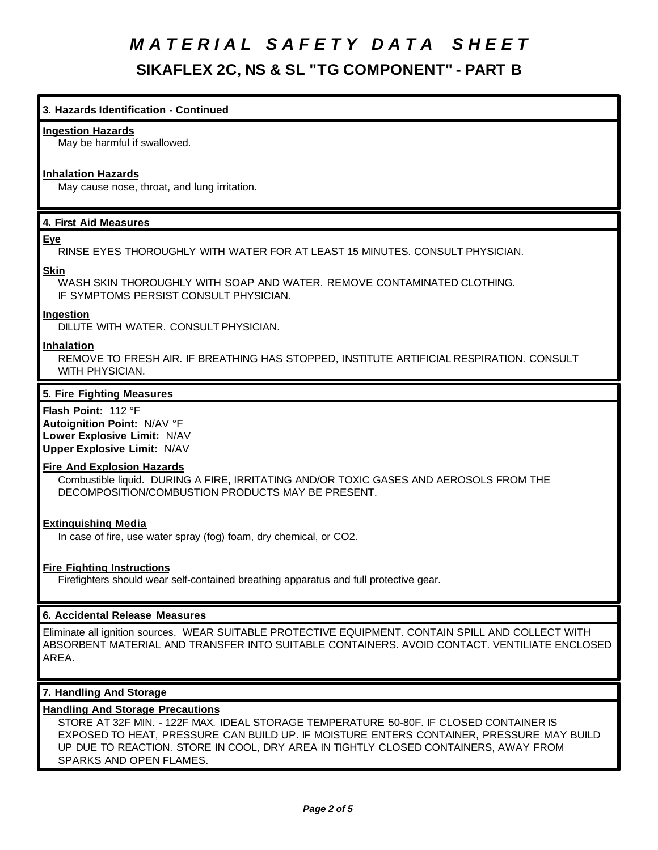# **3. Hazards Identification - Continued**

#### **Ingestion Hazards**

May be harmful if swallowed.

### **Inhalation Hazards**

May cause nose, throat, and lung irritation.

# **4. First Aid Measures**

### **Eye**

RINSE EYES THOROUGHLY WITH WATER FOR AT LEAST 15 MINUTES. CONSULT PHYSICIAN.

### **Skin**

WASH SKIN THOROUGHLY WITH SOAP AND WATER. REMOVE CONTAMINATED CLOTHING. IF SYMPTOMS PERSIST CONSULT PHYSICIAN.

### **Ingestion**

DILUTE WITH WATER. CONSULT PHYSICIAN.

### **Inhalation**

REMOVE TO FRESH AIR. IF BREATHING HAS STOPPED, INSTITUTE ARTIFICIAL RESPIRATION. CONSULT WITH PHYSICIAN.

### **5. Fire Fighting Measures**

**Flash Point:** 112 °F **Autoignition Point:** N/AV °F **Lower Explosive Limit:** N/AV **Upper Explosive Limit:** N/AV

### **Fire And Explosion Hazards**

Combustible liquid. DURING A FIRE, IRRITATING AND/OR TOXIC GASES AND AEROSOLS FROM THE DECOMPOSITION/COMBUSTION PRODUCTS MAY BE PRESENT.

### **Extinguishing Media**

In case of fire, use water spray (fog) foam, dry chemical, or CO2.

### **Fire Fighting Instructions**

Firefighters should wear self-contained breathing apparatus and full protective gear.

# **6. Accidental Release Measures**

Eliminate all ignition sources. WEAR SUITABLE PROTECTIVE EQUIPMENT. CONTAIN SPILL AND COLLECT WITH ABSORBENT MATERIAL AND TRANSFER INTO SUITABLE CONTAINERS. AVOID CONTACT. VENTILIATE ENCLOSED AREA.

### **7. Handling And Storage**

### **Handling And Storage Precautions**

STORE AT 32F MIN. - 122F MAX. IDEAL STORAGE TEMPERATURE 50-80F. IF CLOSED CONTAINER IS EXPOSED TO HEAT, PRESSURE CAN BUILD UP. IF MOISTURE ENTERS CONTAINER, PRESSURE MAY BUILD UP DUE TO REACTION. STORE IN COOL, DRY AREA IN TIGHTLY CLOSED CONTAINERS, AWAY FROM SPARKS AND OPEN FLAMES.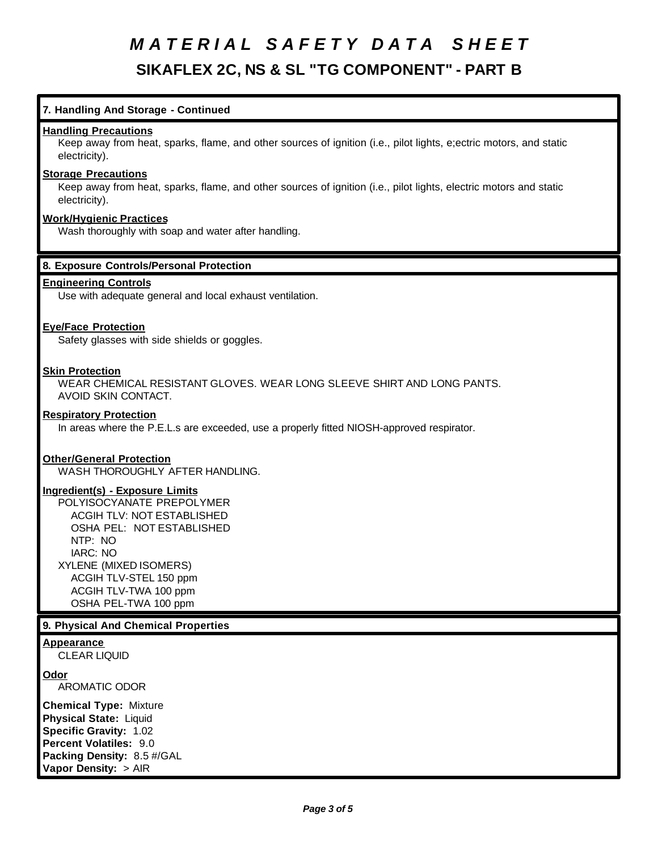# **7. Handling And Storage - Continued**

### **Handling Precautions**

Keep away from heat, sparks, flame, and other sources of ignition (i.e., pilot lights, e;ectric motors, and static electricity).

# **Storage Precautions**

Keep away from heat, sparks, flame, and other sources of ignition (i.e., pilot lights, electric motors and static electricity).

# **Work/Hygienic Practices**

Wash thoroughly with soap and water after handling.

### **8. Exposure Controls/Personal Protection**

### **Engineering Controls**

Use with adequate general and local exhaust ventilation.

### **Eye/Face Protection**

Safety glasses with side shields or goggles.

### **Skin Protection**

WEAR CHEMICAL RESISTANT GLOVES. WEAR LONG SLEEVE SHIRT AND LONG PANTS. AVOID SKIN CONTACT.

### **Respiratory Protection**

In areas where the P.E.L.s are exceeded, use a properly fitted NIOSH-approved respirator.

### **Other/General Protection**

WASH THOROUGHLY AFTER HANDLING.

### **Ingredient(s) - Exposure Limits**

POLYISOCYANATE PREPOLYMER ACGIH TLV: NOT ESTABLISHED OSHA PEL: NOT ESTABLISHED NTP: NO IARC: NO XYLENE (MIXED ISOMERS) ACGIH TLV-STEL 150 ppm ACGIH TLV-TWA 100 ppm OSHA PEL-TWA 100 ppm

#### **9. Physical And Chemical Properties**

#### **Appearance**

CLEAR LIQUID

### **Odor**

AROMATIC ODOR

**Chemical Type:** Mixture **Physical State:** Liquid **Specific Gravity:** 1.02 **Percent Volatiles:** 9.0 **Packing Density:** 8.5 #/GAL **Vapor Density:** > AIR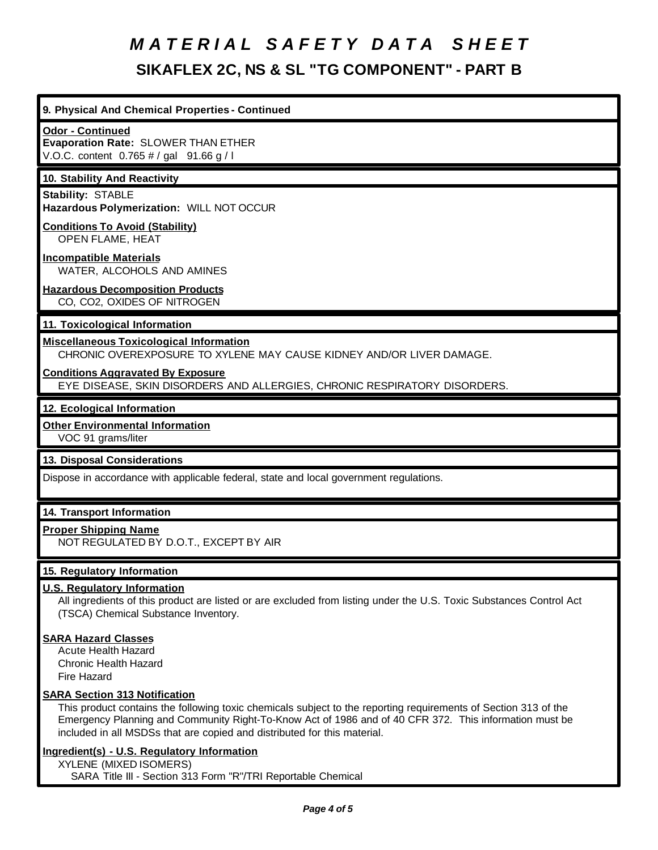# **9. Physical And Chemical Properties - Continued**

### **Odor - Continued**

**Evaporation Rate:** SLOWER THAN ETHER V.O.C. content 0.765 # / gal 91.66 g / l

### **10. Stability And Reactivity**

**Stability:** STABLE **Hazardous Polymerization:** WILL NOT OCCUR

#### **Conditions To Avoid (Stability)** OPEN FLAME, HEAT

**Incompatible Materials** WATER, ALCOHOLS AND AMINES

### **Hazardous Decomposition Products** CO, CO2, OXIDES OF NITROGEN

# **11. Toxicological Information**

# **Miscellaneous Toxicological Information**

CHRONIC OVEREXPOSURE TO XYLENE MAY CAUSE KIDNEY AND/OR LIVER DAMAGE.

### **Conditions Aggravated By Exposure**

EYE DISEASE, SKIN DISORDERS AND ALLERGIES, CHRONIC RESPIRATORY DISORDERS.

### **12. Ecological Information**

### **Other Environmental Information**

VOC 91 grams/liter

### **13. Disposal Considerations**

Dispose in accordance with applicable federal, state and local government regulations.

### **14. Transport Information**

### **Proper Shipping Name**

NOT REGULATED BY D.O.T., EXCEPT BY AIR

# **15. Regulatory Information**

# **U.S. Regulatory Information**

All ingredients of this product are listed or are excluded from listing under the U.S. Toxic Substances Control Act (TSCA) Chemical Substance Inventory.

### **SARA Hazard Classes**

Acute Health Hazard Chronic Health Hazard Fire Hazard

### **SARA Section 313 Notification**

This product contains the following toxic chemicals subject to the reporting requirements of Section 313 of the Emergency Planning and Community Right-To-Know Act of 1986 and of 40 CFR 372. This information must be included in all MSDSs that are copied and distributed for this material.

### **Ingredient(s) - U.S. Regulatory Information**

XYLENE (MIXED ISOMERS) SARA Title III - Section 313 Form "R"/TRI Reportable Chemical